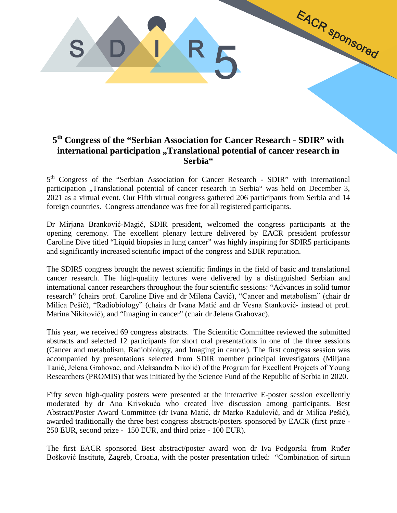## **5th Congress of the "Serbian Association for Cancer Research - SDIR" with**  international participation "Translational potential of cancer research in **Serbia"**

EACR Sponsored

S D I R

SULK5

5<sup>th</sup> Congress of the "Serbian Association for Cancer Research - SDIR" with international participation "Translational potential of cancer research in Serbia" was held on December 3, 2021 as a virtual event. Our Fifth virtual congress gathered 206 participants from Serbia and 14 foreign countries. Congress attendance was free for all registered participants.

Dr Mirjana Branković-Magić, SDIR president, welcomed the congress participants at the opening ceremony. The excellent plenary lecture delivered by EACR president professor Caroline Dive titled "Liquid biopsies in lung cancer" was highly inspiring for SDIR5 participants and significantly increased scientific impact of the congress and SDIR reputation.

The SDIR5 congress brought the newest scientific findings in the field of basic and translational cancer research. The high-quality lectures were delivered by a distinguished Serbian and international cancer researchers throughout the four scientific sessions: "Advances in solid tumor research" (chairs prof. Caroline Dive and dr Milena Čavić), "Cancer and metabolism" (chair dr Milica Pešić), "Radiobiology" (chairs dr Ivana Matić and dr Vesna Stanković- instead of prof. Marina Nikitović), and "Imaging in cancer" (chair dr Jelena Grahovac).

This year, we received 69 congress abstracts. The Scientific Committee reviewed the submitted abstracts and selected 12 participants for short oral presentations in one of the three sessions (Cancer and metabolism, Radiobiology, and Imaging in cancer). The first congress session was accompanied by presentations selected from SDIR member principal investigators (Miljana Tanić, Jelena Grahovac, and Aleksandra Nikolić) of the Program for Excellent Projects of Young Researchers (PROMIS) that was initiated by the Science Fund of the Republic of Serbia in 2020.

Fifty seven high-quality posters were presented at the interactive E-poster session excellently moderated by dr Ana Krivokuća who created live discussion among participants. Best Abstract/Poster Award Committee (dr Ivana Matić, dr Marko Radulović, and dr Milica Pešić), awarded traditionally the three best congress abstracts/posters sponsored by EACR (first prize - 250 EUR, second prize - 150 EUR, and third prize - 100 EUR).

The first EACR sponsored Best abstract/poster award won dr Iva Podgorski from Ruđer Bošković Institute, Zagreb, Croatia, with the poster presentation titled: "Combination of sirtuin